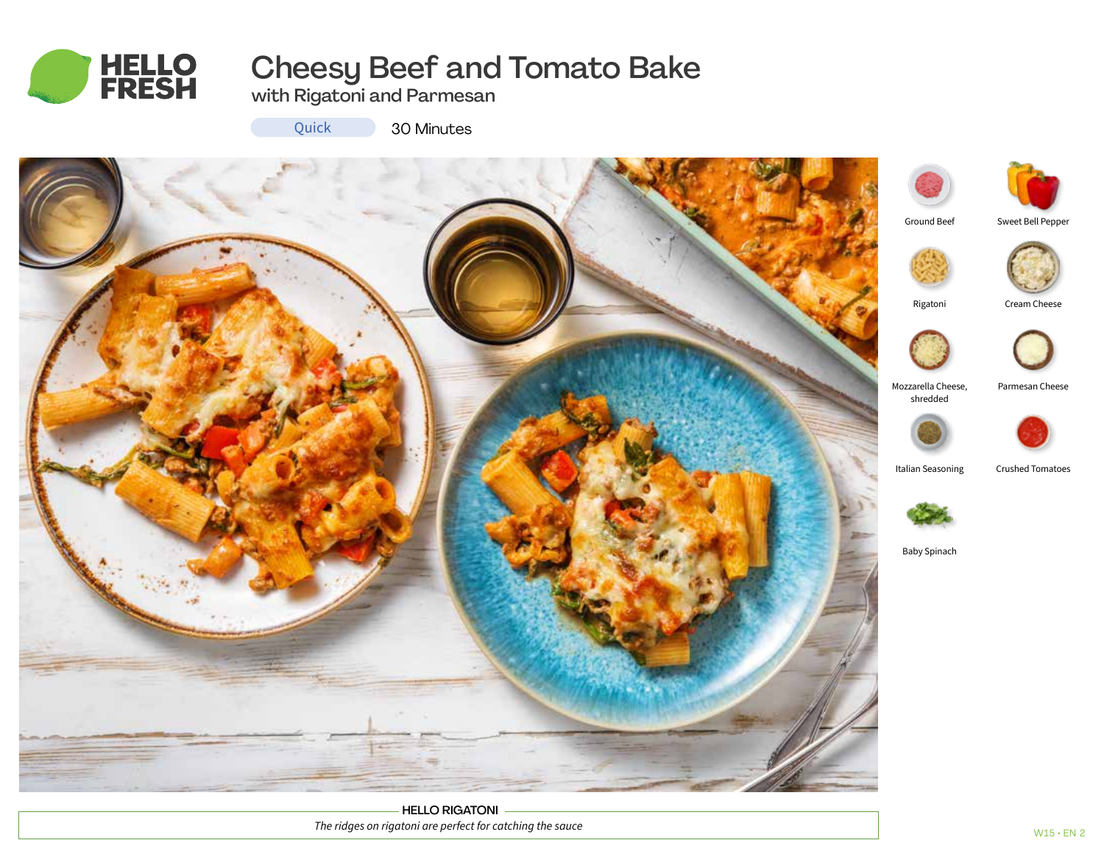

# Cheesy Beef and Tomato Bake

with Rigatoni and Parmesan

Quick

30 Minutes



HELLO RIGATONI *The ridges on rigatoni are perfect for catching the sauce*



Sweet Bell Pepper

 $W15$  • EN 2